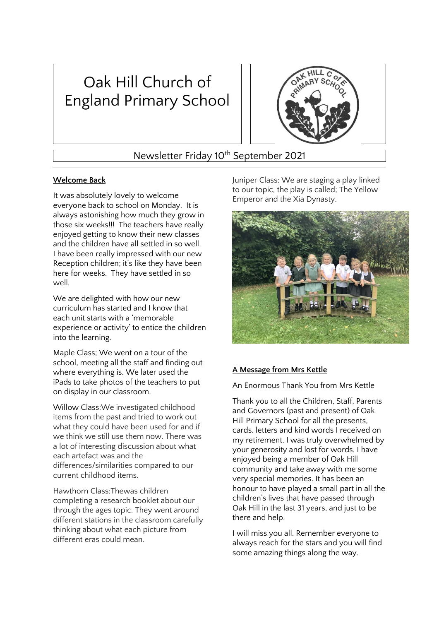# Oak Hill Church of England Primary School



Newsletter Friday 10<sup>th</sup> September 2021

## **Welcome Back**

It was absolutely lovely to welcome everyone back to school on Monday. It is always astonishing how much they grow in those six weeks!!! The teachers have really enjoyed getting to know their new classes and the children have all settled in so well. I have been really impressed with our new Reception children; it's like they have been here for weeks. They have settled in so well.

We are delighted with how our new curriculum has started and I know that each unit starts with a 'memorable experience or activity' to entice the children into the learning.

Maple Class; We went on a tour of the school, meeting all the staff and finding out where everything is. We later used the iPads to take photos of the teachers to put on display in our classroom.

Willow Class:We investigated childhood items from the past and tried to work out what they could have been used for and if we think we still use them now. There was a lot of interesting discussion about what each artefact was and the differences/similarities compared to our current childhood items.

Hawthorn Class:Thewas children completing a research booklet about our through the ages topic. They went around different stations in the classroom carefully thinking about what each picture from different eras could mean.

Juniper Class: We are staging a play linked to our topic, the play is called; The Yellow Emperor and the Xia Dynasty.



## **A Message from Mrs Kettle**

An Enormous Thank You from Mrs Kettle

Thank you to all the Children, Staff, Parents and Governors (past and present) of Oak Hill Primary School for all the presents, cards. letters and kind words I received on my retirement. I was truly overwhelmed by your generosity and lost for words. I have enjoyed being a member of Oak Hill community and take away with me some very special memories. It has been an honour to have played a small part in all the children's lives that have passed through Oak Hill in the last 31 years, and just to be there and help.

I will miss you all. Remember everyone to always reach for the stars and you will find some amazing things along the way.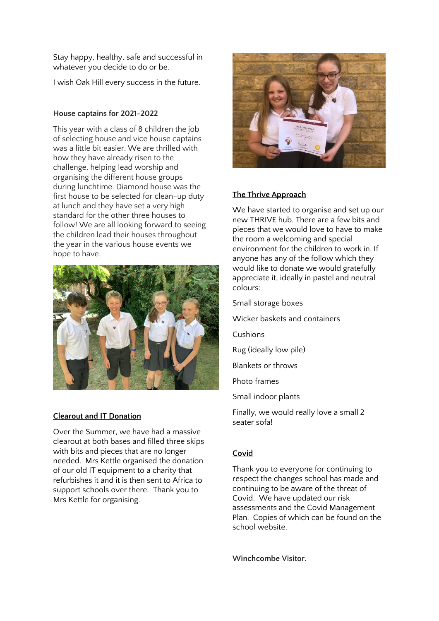Stay happy, healthy, safe and successful in whatever you decide to do or be.

I wish Oak Hill every success in the future.

#### **House captains for 2021-2022**

This year with a class of 8 children the job of selecting house and vice house captains was a little bit easier. We are thrilled with how they have already risen to the challenge, helping lead worship and organising the different house groups during lunchtime. Diamond house was the first house to be selected for clean-up duty at lunch and they have set a very high standard for the other three houses to follow! We are all looking forward to seeing the children lead their houses throughout the year in the various house events we hope to have.



#### **Clearout and IT Donation**

Over the Summer, we have had a massive clearout at both bases and filled three skips with bits and pieces that are no longer needed. Mrs Kettle organised the donation of our old IT equipment to a charity that refurbishes it and it is then sent to Africa to support schools over there. Thank you to Mrs Kettle for organising.



## **The Thrive Approach**

We have started to organise and set up our new THRIVE hub. There are a few bits and pieces that we would love to have to make the room a welcoming and special environment for the children to work in. If anyone has any of the follow which they would like to donate we would gratefully appreciate it, ideally in pastel and neutral colours:

- Small storage boxes
- Wicker baskets and containers
- Cushions
- Rug (ideally low pile)
- Blankets or throws
- Photo frames
- Small indoor plants

Finally, we would really love a small 2 seater sofa!

## **Covid**

Thank you to everyone for continuing to respect the changes school has made and continuing to be aware of the threat of Covid. We have updated our risk assessments and the Covid Management Plan. Copies of which can be found on the school website.

**Winchcombe Visitor.**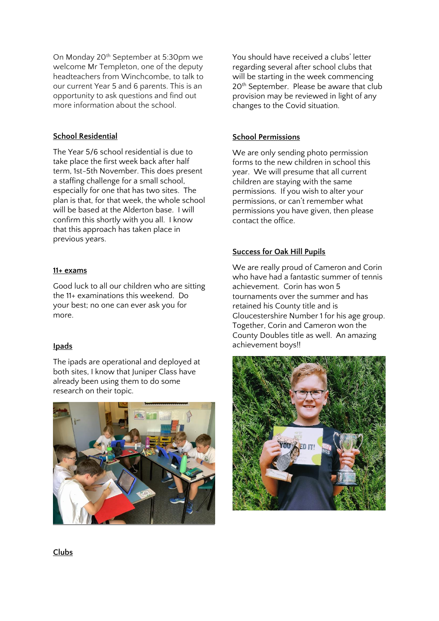On Monday 20<sup>th</sup> September at 5:30pm we welcome Mr Templeton, one of the deputy headteachers from Winchcombe, to talk to our current Year 5 and 6 parents. This is an opportunity to ask questions and find out more information about the school.

#### **School Residential**

The Year 5/6 school residential is due to take place the first week back after half term, 1st-5th November. This does present a staffing challenge for a small school, especially for one that has two sites. The plan is that, for that week, the whole school will be based at the Alderton base. I will confirm this shortly with you all. I know that this approach has taken place in previous years.

#### **11+ exams**

Good luck to all our children who are sitting the 11+ examinations this weekend. Do your best; no one can ever ask you for more.

## **Ipads**

The ipads are operational and deployed at both sites, I know that Juniper Class have already been using them to do some research on their topic.



You should have received a clubs' letter regarding several after school clubs that will be starting in the week commencing 20<sup>th</sup> September. Please be aware that club provision may be reviewed in light of any changes to the Covid situation.

#### **School Permissions**

We are only sending photo permission forms to the new children in school this year. We will presume that all current children are staying with the same permissions. If you wish to alter your permissions, or can't remember what permissions you have given, then please contact the office.

#### **Success for Oak Hill Pupils**

We are really proud of Cameron and Corin who have had a fantastic summer of tennis achievement. Corin has won 5 tournaments over the summer and has retained his County title and is Gloucestershire Number 1 for his age group. Together, Corin and Cameron won the County Doubles title as well. An amazing achievement boys!!



**Clubs**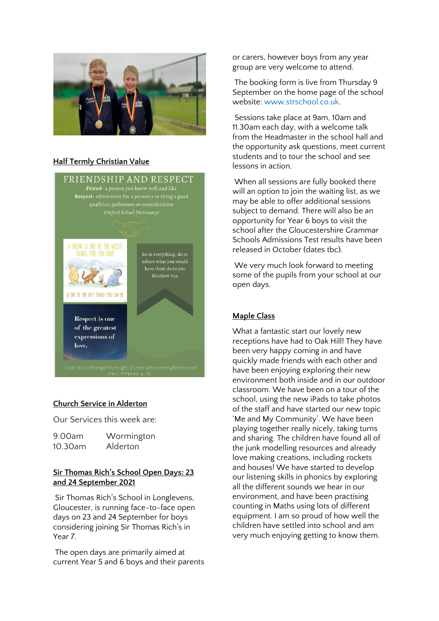

#### **Half Termly Christian Value**



## **Church Service in Alderton**

Our Services this week are:

| 9.00am  | Wormington |
|---------|------------|
| 10.30am | Alderton   |

#### **Sir Thomas Rich's School Open Days: 23 and 24 September 2021**

Sir Thomas Rich's School in Longlevens, Gloucester, is running face-to-face open days on 23 and 24 September for boys considering joining Sir Thomas Rich's in Year 7.

The open days are primarily aimed at current Year 5 and 6 boys and their parents or carers, however boys from any year group are very welcome to attend.

The booking form is live from Thursday 9 September on the home page of the school website: [www.strschool.co.uk.](http://www.strschool.co.uk/)

Sessions take place at 9am, 10am and 11.30am each day, with a welcome talk from the Headmaster in the school hall and the opportunity ask questions, meet current students and to tour the school and see lessons in action.

When all sessions are fully booked there will an option to join the waiting list, as we may be able to offer additional sessions subject to demand. There will also be an opportunity for Year 6 boys to visit the school after the Gloucestershire Grammar Schools Admissions Test results have been released in October (dates tbc).

We very much look forward to meeting some of the pupils from your school at our open days.

## **Maple Class**

What a fantastic start our lovely new receptions have had to Oak Hill! They have been very happy coming in and have quickly made friends with each other and have been enjoying exploring their new environment both inside and in our outdoor classroom. We have been on a tour of the school, using the new iPads to take photos of the staff and have started our new topic 'Me and My Community'. We have been playing together really nicely, taking turns and sharing. The children have found all of the junk modelling resources and already love making creations, including rockets and houses! We have started to develop our listening skills in phonics by exploring all the different sounds we hear in our environment, and have been practising counting in Maths using lots of different equipment. I am so proud of how well the children have settled into school and am very much enjoying getting to know them.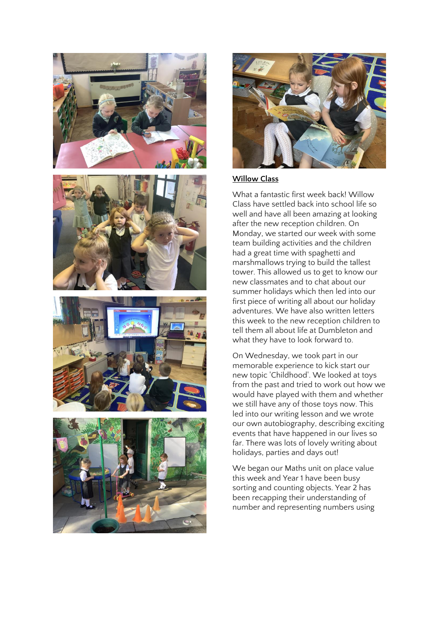



#### **Willow Class**

What a fantastic first week back! Willow Class have settled back into school life so well and have all been amazing at looking after the new reception children. On Monday, we started our week with some team building activities and the children had a great time with spaghetti and marshmallows trying to build the tallest tower. This allowed us to get to know our new classmates and to chat about our summer holidays which then led into our first piece of writing all about our holiday adventures. We have also written letters this week to the new reception children to tell them all about life at Dumbleton and what they have to look forward to.

On Wednesday, we took part in our memorable experience to kick start our new topic 'Childhood'. We looked at toys from the past and tried to work out how we would have played with them and whether we still have any of those toys now. This led into our writing lesson and we wrote our own autobiography, describing exciting events that have happened in our lives so far. There was lots of lovely writing about holidays, parties and days out!

We began our Maths unit on place value this week and Year 1 have been busy sorting and counting objects. Year 2 has been recapping their understanding of number and representing numbers using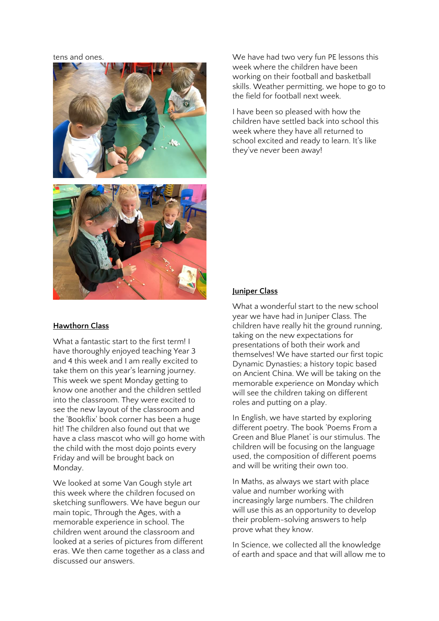tens and ones.



#### **Hawthorn Class**

What a fantastic start to the first term! I have thoroughly enjoyed teaching Year 3 and 4 this week and I am really excited to take them on this year's learning journey. This week we spent Monday getting to know one another and the children settled into the classroom. They were excited to see the new layout of the classroom and the 'Bookflix' book corner has been a huge hit! The children also found out that we have a class mascot who will go home with the child with the most dojo points every Friday and will be brought back on Monday.

We looked at some Van Gough style art this week where the children focused on sketching sunflowers. We have begun our main topic, Through the Ages, with a memorable experience in school. The children went around the classroom and looked at a series of pictures from different eras. We then came together as a class and discussed our answers.

We have had two very fun PE lessons this week where the children have been working on their football and basketball skills. Weather permitting, we hope to go to the field for football next week.

I have been so pleased with how the children have settled back into school this week where they have all returned to school excited and ready to learn. It's like they've never been away!

#### **Juniper Class**

What a wonderful start to the new school year we have had in Juniper Class. The children have really hit the ground running, taking on the new expectations for presentations of both their work and themselves! We have started our first topic Dynamic Dynasties; a history topic based on Ancient China. We will be taking on the memorable experience on Monday which will see the children taking on different roles and putting on a play.

In English, we have started by exploring different poetry. The book 'Poems From a Green and Blue Planet' is our stimulus. The children will be focusing on the language used, the composition of different poems and will be writing their own too.

In Maths, as always we start with place value and number working with increasingly large numbers. The children will use this as an opportunity to develop their problem-solving answers to help prove what they know.

In Science, we collected all the knowledge of earth and space and that will allow me to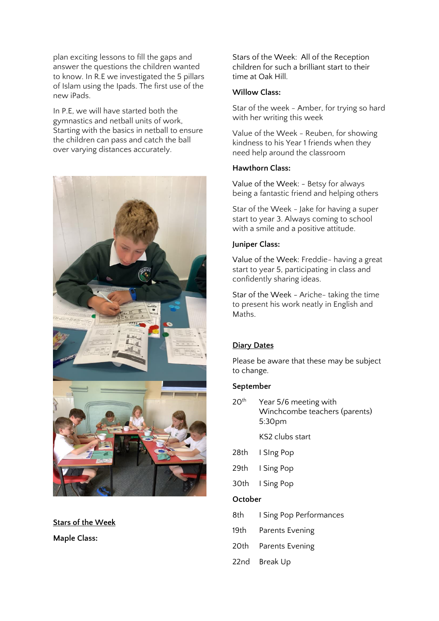plan exciting lessons to fill the gaps and answer the questions the children wanted to know. In R.E we investigated the 5 pillars of Islam using the Ipads. The first use of the new iPads.

In P.E, we will have started both the gymnastics and netball units of work, Starting with the basics in netball to ensure the children can pass and catch the ball over varying distances accurately.



**Stars of the Week**

**Maple Class:**

Stars of the Week: All of the Reception children for such a brilliant start to their time at Oak Hill.

### **Willow Class:**

Star of the week - Amber, for trying so hard with her writing this week

Value of the Week - Reuben, for showing kindness to his Year 1 friends when they need help around the classroom

#### **Hawthorn Class:**

Value of the Week: - Betsy for always being a fantastic friend and helping others

Star of the Week - Jake for having a super start to year 3. Always coming to school with a smile and a positive attitude.

## **Juniper Class:**

Value of the Week: Freddie- having a great start to year 5, participating in class and confidently sharing ideas.

Star of the Week - Ariche- taking the time to present his work neatly in English and Maths.

## **Diary Dates**

Please be aware that these may be subject to change.

## **September**

20<sup>th</sup> Year 5/6 meeting with Winchcombe teachers (parents) 5:30pm

KS2 clubs start

- 28th I SIng Pop
- 29th I Sing Pop
- 30th I Sing Pop

## **October**

- 8th I Sing Pop Performances
- 19th Parents Evening
- 20th Parents Evening
- 22nd Break Up